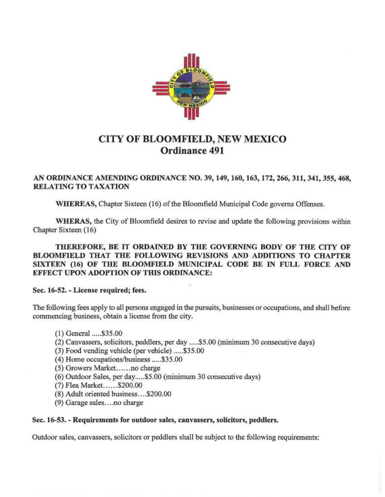

# CITY OF BLOOMFIELD, NEW MEXICO Ordinance 491

### AN ORDINANCE AMENDING ORDINANCE NO. 39, 149, 160, 163, 172, 266, 311, 341, 355, 468, **RELATING TO TAXATION**

WHEREAS, Chapter Sixteen (16) of the Bloomfield Municipal Code governs Offenses.

WHERAS, the City of Bloomfield desires to revise and update the following provisions within Chapter Sixteen (16)

THEREFORE, BE IT ORDAlNED BY THE GOVERNING BODY OF THE CITY OF BLOOMFIELD THAT THE FOLLOWING REVISIONS AND ADDITIONS TO CHAPTER SIXTEEN (16) OF THE BLOOMFIELD MUNICIPAL CODE BE IN FULL FORCE AND EFFECT UPON ADOPTION OF THIS ORDINANCE:

## Sec. 16-52. - License required; fees.

The following fees apply to all persons engaged in the pursuits, businesses or occupations, and shall before commencing business, obtain a license from the city.

- (1) General ..... \$35.00
- (2) Canvassers, solicitors, peddlers, per day ..... \$5.00 (minimum 30 consecutive days)
- (3) Food vending vehicle (per vehicle) ..... \$35.00
- ( 4) Home occupations/business ..... \$35.00
- (5) Growers Market.. .... no charge
- (6) Outdoor Sales, per day ..... \$5.00 (minimum 30 consecutive days)
- (7) Flea Market. ..... \$200.00
- (8) Adult oriented business .... \$200.00
- (9) Garage sales....no charge

#### Sec. 16-53. - Requirements for outdoor sales, canvassers, solicitors, peddlers.

Outdoor sales, canvassers, solicitors or peddlers shall be subject to the following requirements: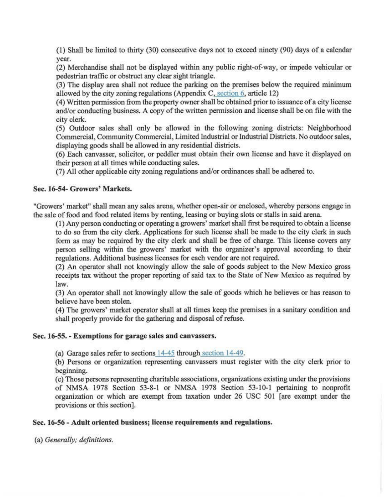{I) Shall be limited to thirty (30) consecutive days not to exceed ninety (90) days of a calendar year.

(2) Merchandise shall not be displayed within any public right-of-way, or impede vehicular or pedestrian traffic or obstruct any clear sight triangle.

 $(3)$  The display area shall not reduce the parking on the premises below the required minimum allowed by the city zoning regulations (Appendix  $C$ , section  $6$ , article 12)

( 4) Written permission from the property owner shall be obtained prior to issuance of a city license and/or conducting business. A copy of the written permission and license shall be on file with the city clerk.

(5) Outdoor sales shall only be allowed in the following zoning districts: Neighborhood Commercial, Community Commercial, Limited Industrial or Industrial Districts. No outdoor sales, displaying goods shall be allowed in any residential districts.

(6) Each canvasser, solicitor, or peddler must obtain their own license and have it displayed on their person at all times while conducting sales.

(7) All other applicable city zoning regulations and/or ordinances shall be adhered to.

#### Sec. 16-54- Growers' Markets.

"Growers' market" shall mean any sales arena, whether open-air or enclosed, whereby persons engage in the sale of food and food related items by renting, leasing or buying slots or stalls in said arena.

(1) Any person conducting or operating a growers' market shalJ first be required to obtain a license to do so from the city clerk. Applications for such license shall be made to the city clerk in such form as may be required by the city clerk and shall be free of charge. This license covers any person selling within the growers' market with the organizer's approval according to their regulations. Additional business licenses for each vendor are not required.

(2) An operator shall not knowingly allow the sale of goods subject to the New Mexico gross receipts tax without the proper reporting of said tax to the State of New Mexico as required by Jaw.

(3) An operator shall not knowingly allow the sale of goods which he believes or has reason to believe have been stolen.

(4) The growers' market operator shall at all times keep the premises in a sanitary condition and shall properly provide for the gathering and disposal of refuse.

#### Sec. 16-55. - Exemptions for garage sales and canvassers.

(a) Garage sales refer to sections 14-45 through section 14-49.

(b) Persons or organization representing canvassers must register with the city clerk prior to beginning.

(c) Those persons representing charitable associations, organizations existing under the provisions of NMSA 1978 Section 53-8-1 or NMSA 1978 Section 53-10-1 pertaining to nonprofit organization or which are exempt from taxation under 26 USC 501 [are exempt under the provisions or this section].

#### Sec. 16-56 - Adult oriented business; license requirements and regulations.

(a) *Generally*; *definitions*.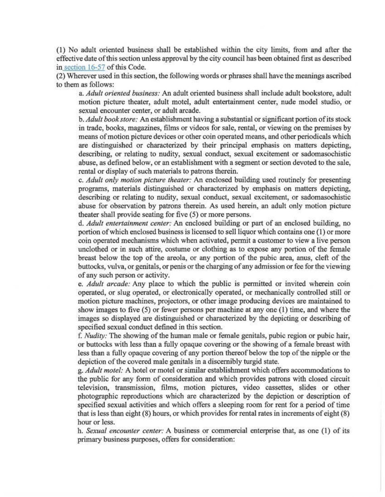(1) No adult oriented business shall be established within the city limits, from and after the effective date of this section unless approval by the city council has been obtained first as described in section 16-57 of this Code.

(2) Wherever used in this section, the following words or phrases shall have the meanings ascribed to them as follows:

a. *Adult oriented business:* An adult oriented business shall include adult bookstore, adult motion picture theater, adult motel, adult entertainment center, nude model studio, or sexual encounter center, or adult arcade.

b. *Adult bookstore:* An establishment having a substantial or significant portion of its stock in trade, books, magazines, films or videos for sale, rental, or viewing on the premises by means of motion picture devices or other coin operated means, and other periodicals which are distinguished or characterized by their principal emphasis on matters depicting, describing, or relating to nudity, sexual conduct, sexual excitement or sadomasochistic abuse, as defined below, or an establishment with a segment or section devoted to the sale, rental or display of such materials to patrons therein.

c. *Adult only motion picture theater:* An enclosed building used routinely for presenting programs, materials distinguished or characterized by emphasis on matters depicting, describing or relating to nudity, sexual conduct, sexual excitement, or sadomasochistic abuse for observation by patrons therein. As used herein, an adult only motion picture theater shall provide seating for five (5) or more persons.

d. *Adult entertainment center:* An enclosed building or part of an enclosed building, no portion of whlch enclosed business is licensed to sell liquor which contains one (I) or more coin operated mechanisms which when activated, permit a customer to view a live person unclothed or in such attire, costume or clothing as to expose any portion of the female breast below the top of the areola, or any portion of the pubic area, anus, cleft of the buttocks, vulva, or genitals, or penis or the charging of any admission or fee for the viewing of any such person or activity.

e. *Adult arcade:* Any place to which the public is permitted or invited wherein coin operated, or slug operated, or electronically operated, or mechanically controlled still or motion picture machines, projectors, or other image producing devices are maintained to show images to five (5) or fewer persons per machine at any one (1) time, and where the images so displayed are distinguished or characterized by the depicting or describing of specified sexual conduct defined in this section.

f. *Nudity:* The showing of the human male or female genitals, pubic region or pubic hair, or buttocks with less than a fully opaque covering or the showing of a female breast with less than a fully opaque covering of any portion thereof below the top of the nipple or the depiction of the covered male genitals in a discernibly turgid state.

g. *Adult motel:* A hotel or motel or similar establishment which offers accommodations to the public for any form of consideration and which provides patrons with closed circuit television, transmission, films, motion pictures, video cassettes, slides or other photographic reproductions which are characterized by the depiction or description of specified sexual activities and which offers a sleeping room for rent for a period of time that is less than eight (8) hours, or which provides for rental rates in increments of eight (8) hour or less.

h. *Sexual encounter center:* A business or commercial enterprise that, as one (1) of its primary business purposes, offers for consideration: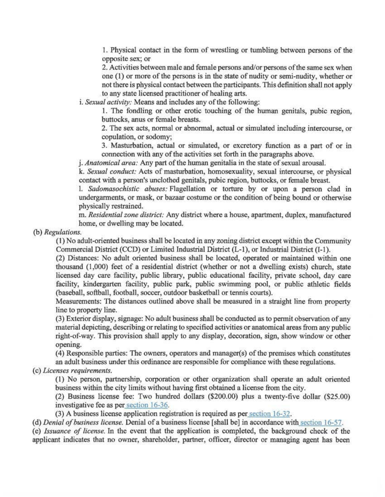1. Physical contact in the form of wrestling or tumbling between persons of the opposite sex; or

2. Activities between male and female persons and/or persons of the same sex when one (I) or more of the persons is in the state of nudity or semi-nudity, whether or not there is physical contact between the participants. This definition shall not apply to any state licensed practitioner of healing arts.

i. *Sexual activity:* Means and includes any of the following:

I. The fondling or other erotic touching of the human genitals, pubic region, buttocks, anus or female breasts.

2. The sex acts, normal or abnormal, actual or simulated including intercourse, or copulation, or sodomy;

3. Masturbation, actual or simulated, or excretory function as a part of or in connection with any of the activities set forth in the paragraphs above.

j. *Anatomical area:* Any part of the human genitalia in the state of sexual arousal.

k. *Sexual conduct:* Acts of masturbation, homosexuality, sexual intercourse, or physical contact with a person's unclothed genitals, pubic region, buttocks, or female breasl

I. *Sadomasochistic abuses:* Flagellation or torture by or upon a person clad in undergarments, or mask, or bazaar costume or the condition of being bound or otherwise physically restrained.

m. *Residential zone district:* Any district where a house, apartment, duplex, manufactured borne, or dwelling may be located.

(b) *Regulations.* 

(I) No adult-oriented business shall be located in any zoning district except within the Community Commercial District (CCD) or Limited Industrial District (L-1 ), or Industrial District (I-1 ).

(2) Distances: No adult oriented business shall be located, operated or maintained within one thousand (1,000) feet of a residential district (whether or not a dwelling exists) church, state licensed day care facility, public library, public educational facility, private school, day care facility, kindergarten facility, public park, public swimming pool, or public athletic fields (baseball, softball, football, soccer, outdoor basketball or tennis courts).

Measurements: The distances outlined above shall be measured in a straight line from property line to property line.

(3) Exterior display, signage: No adult business shall be conducted as to permit observation of any material depicting, describing or relating to specified activities or anatomical areas from any public right-of-way. This provision shall apply to any display, decoration, sign, show window or other opening.

 $(4)$  Responsible parties: The owners, operators and manager(s) of the premises which constitutes an adult business under this ordinance are responsible for compliance with these regulations.

(c) *Licenses requirements.* 

(I) No person, partnership, corporation or other organization shall opernte an adult oriented business within the city limits without having first obtained a license from the city.

(2) Business license fee: Two hundred dollars (\$200.00) plus a twenty-five dollar (\$25.00) investigative fee as per section 16-36.

(3) A business license application registration is required as per section 16-32.

*(d)Denial of business license.* Denial ofa business license [shall be] in accordance with section 16-57.

( e) *Issuance of license.* In the event that the application is completed, the background check of the applicant indicates that no owner, shareholder, partner, officer, director or managing agent bas been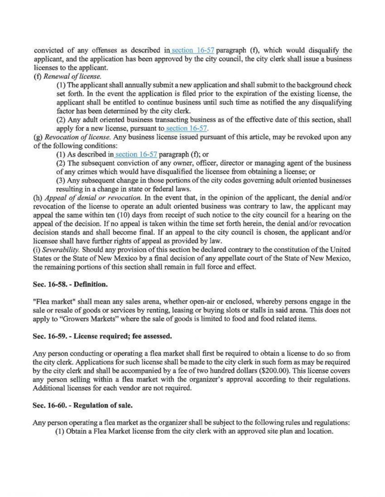convicted of any offenses as described in section 16-57 paragraph (f), which would disqualify the applicant, and the application has been approved by the city council, the city clerk shall issue a business licenses to the applicant.

(t) *Renewal of license.* 

{I) The applicant shall annually submit a new application and shall submit to the background check set forth. In the event the application is filed prior to the expiration of the existing license, the applicant shall be entitled to continue business until such time as notified the any disqualifying factor has been determined by the city clerk.

(2) Any adult oriented business transacting business as of the effective date of this section, shall apply for a new license, pursuant to section 16-57.

(g) *Revocation of license.* Any business license issued pursuant of tbjs article, may be revoked upon any of the following conditions:

(1) As described in section  $16-57$  paragraph (f); or

(2) The subsequent conviction of any owner, officer, director or managing agent of the business of any crimes which would have disqualified the licensee from obtaining a license; or

(3) Any subsequent change in those portions of the city codes governing adult oriented businesses resulting in a change in state or federal laws.

(h) *Appeal of denial or revocation.* In the event that, in the opinion of the applicant, the denial and/or revocation of the license to operate an adult oriented business was contrary to law, the applicant may appeal the same within ten (10) days from receipt of such notice to the city council for a bearing on the appeal of the decision. If no appeal is taken within the time set forth herein, the denial and/or revocation decision stands and shall become final. If an appeal to the city council is chosen, the applicant and/or licensee shall have further rights of appeal *as* provided by law.

(i) *Severability.* Should any provision of this section be declared contrary to the constitution of the United States or the State of New Mexico by a final decision of any appellate court of the State of New Mexico, the remaining portions of this section shall remain in full force and effect.

#### Sec. 16-58. - Defmition.

"Flea market" shall mean any sales arena, whether open-air or enclosed, whereby persons engage in the sale or resale of goods or services by renting, leasing or buying slots or stalls in said arena. This does not apply to "Growers Markets" where the sale of goods is limited to food and food related items.

#### Sec. 16-59. - License required; fee assessed.

Any person conducting or operating a flea market shall first be required to obtain a license to do so from the city clerk. Applications for such license shall be made to the city clerk in such form as may be required by the city clerk and shall be accompanied by a fee of two hundred dollars (\$200.00). This license covers any person selling within a flea market with the organizer's approval according to their regulations. Additional licenses for each vendor are not required.

#### Sec. 16-60. - Regulation of sale.

Any person operating a flea market as the organizer shall be subject to the following rules and regulations:

(1) Obtain a Flea Market license from the city clerk with an approved site plan and location.